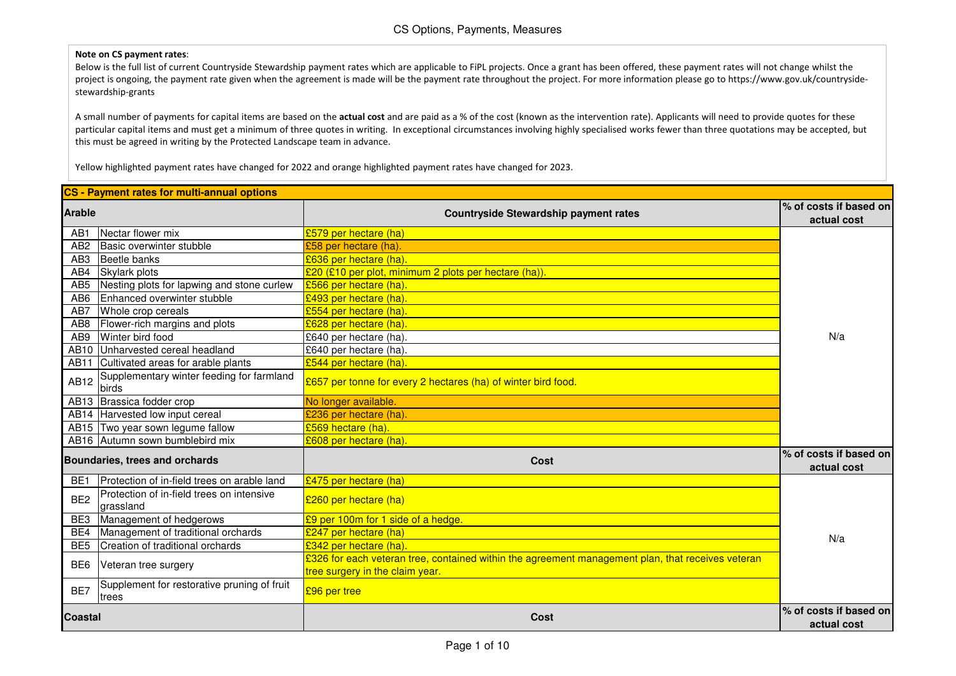## **Note on CS payment rates**:

Below is the full list of current Countryside Stewardship payment rates which are applicable to FiPL projects. Once a grant has been offered, these payment rates will not change whilst the project is ongoing, the payment rate given when the agreement is made will be the payment rate throughout the project. For more information please go to https://www.gov.uk/countrysidestewardship-grants

A small number of payments for capital items are based on the **actual cost** and are paid as a % of the cost (known as the intervention rate). Applicants will need to provide quotes for these particular capital items and must get a minimum of three quotes in writing. In exceptional circumstances involving highly specialised works fewer than three quotations may be accepted, but this must be agreed in writing by the Protected Landscape team in advance.

Yellow highlighted payment rates have changed for 2022 and orange highlighted payment rates have changed for 2023.

|                 | CS - Payment rates for multi-annual options               |                                                                                                   |                                       |  |
|-----------------|-----------------------------------------------------------|---------------------------------------------------------------------------------------------------|---------------------------------------|--|
| <b>Arable</b>   |                                                           | <b>Countryside Stewardship payment rates</b>                                                      | % of costs if based on<br>actual cost |  |
| AB <sub>1</sub> | Nectar flower mix                                         | £579 per hectare (ha)                                                                             |                                       |  |
| AB <sub>2</sub> | Basic overwinter stubble                                  | £58 per hectare (ha).                                                                             |                                       |  |
| AB <sub>3</sub> | Beetle banks                                              | £636 per hectare (ha).                                                                            |                                       |  |
| AB4             | Skylark plots                                             | £20 (£10 per plot, minimum 2 plots per hectare (ha)).                                             |                                       |  |
| AB5             | Nesting plots for lapwing and stone curlew                | £566 per hectare (ha).                                                                            |                                       |  |
| AB6             | Enhanced overwinter stubble                               | £493 per hectare (ha).                                                                            |                                       |  |
| AB7             | Whole crop cereals                                        | £554 per hectare (ha).                                                                            |                                       |  |
|                 | AB8   Flower-rich margins and plots                       | £628 per hectare (ha).                                                                            |                                       |  |
| AB9             | Winter bird food                                          | £640 per hectare (ha).                                                                            | N/a                                   |  |
|                 | AB10 Unharvested cereal headland                          | £640 per hectare (ha).                                                                            |                                       |  |
|                 | AB11 Cultivated areas for arable plants                   | £544 per hectare (ha).                                                                            |                                       |  |
| <b>AB12</b>     | Supplementary winter feeding for farmland<br><b>birds</b> | £657 per tonne for every 2 hectares (ha) of winter bird food.                                     |                                       |  |
|                 | AB13 Brassica fodder crop                                 | No longer available.                                                                              |                                       |  |
|                 | AB14 Harvested low input cereal                           | £236 per hectare (ha).                                                                            |                                       |  |
|                 | AB15 Two year sown legume fallow                          | £569 hectare (ha).                                                                                |                                       |  |
|                 | AB16 Autumn sown bumblebird mix                           | £608 per hectare (ha).                                                                            |                                       |  |
|                 | Boundaries, trees and orchards                            | <b>Cost</b>                                                                                       | % of costs if based on<br>actual cost |  |
| BE <sub>1</sub> | Protection of in-field trees on arable land               | £475 per hectare (ha)                                                                             |                                       |  |
| BE <sub>2</sub> | Protection of in-field trees on intensive<br>grassland    | £260 per hectare (ha)                                                                             |                                       |  |
|                 | BE3 Management of hedgerows                               | £9 per 100m for 1 side of a hedge.                                                                |                                       |  |
| BE4             | Management of traditional orchards                        | £247 per hectare (ha)                                                                             | N/a                                   |  |
| BE <sub>5</sub> | Creation of traditional orchards                          | £342 per hectare (ha).                                                                            |                                       |  |
| BE <sub>6</sub> | Veteran tree surgery                                      | £326 for each veteran tree, contained within the agreement management plan, that receives veteran |                                       |  |
|                 |                                                           | tree surgery in the claim year.                                                                   |                                       |  |
| BE7             | Supplement for restorative pruning of fruit               | £96 per tree                                                                                      |                                       |  |
|                 | trees                                                     |                                                                                                   |                                       |  |
| <b>Coastal</b>  |                                                           | Cost                                                                                              | % of costs if based on<br>actual cost |  |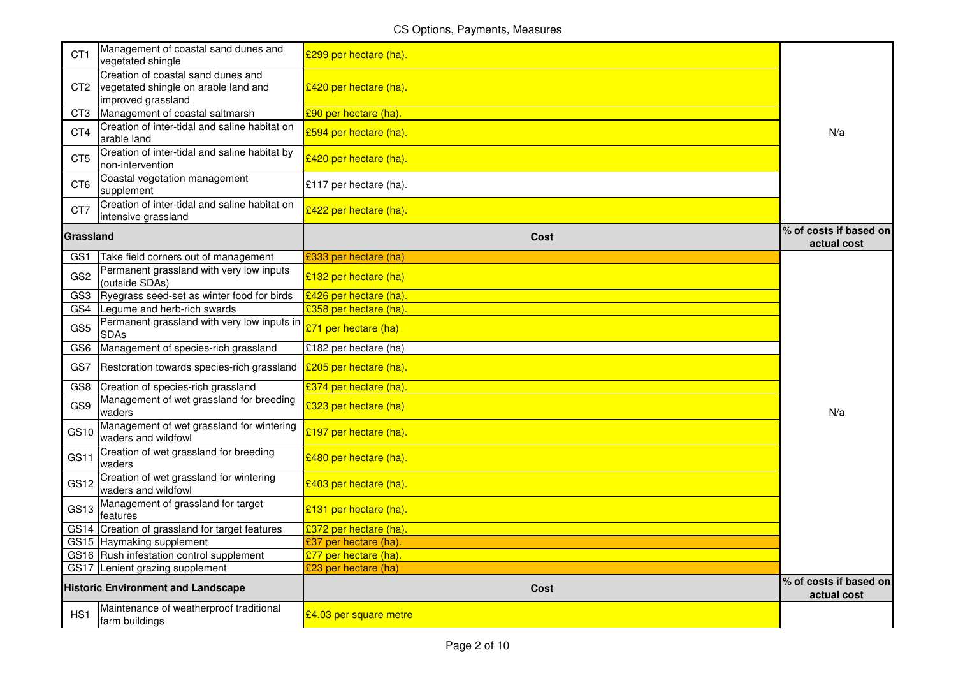| CT <sub>1</sub>  | Management of coastal sand dunes and<br>vegetated shingle                                        | £299 per hectare (ha). |                                       |
|------------------|--------------------------------------------------------------------------------------------------|------------------------|---------------------------------------|
| CT <sub>2</sub>  | Creation of coastal sand dunes and<br>vegetated shingle on arable land and<br>improved grassland | £420 per hectare (ha). |                                       |
| CT3              | Management of coastal saltmarsh                                                                  | £90 per hectare (ha).  |                                       |
| CT4              | Creation of inter-tidal and saline habitat on<br>arable land                                     | £594 per hectare (ha). | N/a                                   |
| CT5              | Creation of inter-tidal and saline habitat by<br>non-intervention                                | £420 per hectare (ha). |                                       |
| CT <sub>6</sub>  | Coastal vegetation management<br>supplement                                                      | £117 per hectare (ha). |                                       |
| CT7              | Creation of inter-tidal and saline habitat on<br>intensive grassland                             | £422 per hectare (ha). |                                       |
| Grassland        |                                                                                                  | Cost                   | % of costs if based on<br>actual cost |
| GS1              | Take field corners out of management                                                             | £333 per hectare (ha)  |                                       |
| GS <sub>2</sub>  | Permanent grassland with very low inputs<br>(outside SDAs)                                       | £132 per hectare (ha)  |                                       |
| GS3              | Ryegrass seed-set as winter food for birds                                                       | £426 per hectare (ha). |                                       |
|                  | GS4 Lequme and herb-rich swards                                                                  | £358 per hectare (ha). |                                       |
| GS <sub>5</sub>  | Permanent grassland with very low inputs in<br><b>SDAs</b>                                       | £71 per hectare (ha)   |                                       |
| GS <sub>6</sub>  | Management of species-rich grassland                                                             | £182 per hectare (ha)  |                                       |
| GS7              | Restoration towards species-rich grassland                                                       | £205 per hectare (ha). |                                       |
| GS8              | Creation of species-rich grassland                                                               | £374 per hectare (ha). |                                       |
| GS9              | Management of wet grassland for breeding<br>waders                                               | £323 per hectare (ha)  | N/a                                   |
| GS10             | Management of wet grassland for wintering<br>waders and wildfowl                                 | £197 per hectare (ha). |                                       |
| GS11             | Creation of wet grassland for breeding<br>waders                                                 | £480 per hectare (ha). |                                       |
| GS <sub>12</sub> | Creation of wet grassland for wintering<br>waders and wildfowl                                   | £403 per hectare (ha). |                                       |
| GS13             | Management of grassland for target<br>features                                                   | £131 per hectare (ha). |                                       |
|                  | GS14 Creation of grassland for target features                                                   | £372 per hectare (ha). |                                       |
|                  | GS15 Haymaking supplement                                                                        | £37 per hectare (ha).  |                                       |
|                  | GS16 Rush infestation control supplement                                                         | £77 per hectare (ha).  |                                       |
|                  | GS17 Lenient grazing supplement                                                                  | £23 per hectare (ha)   |                                       |
|                  | <b>Historic Environment and Landscape</b>                                                        | Cost                   | % of costs if based on<br>actual cost |
| HS <sub>1</sub>  | Maintenance of weatherproof traditional<br>farm buildings                                        | £4.03 per square metre |                                       |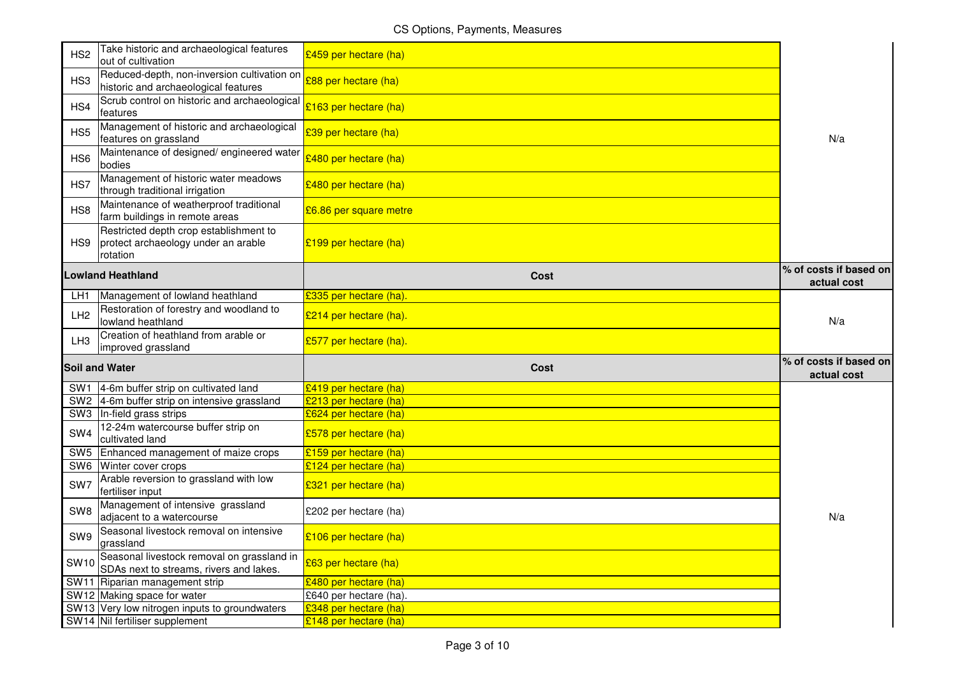CS Options, Payments, Measures

| HS <sub>2</sub> | Take historic and archaeological features<br>out of cultivation                                                 | £459 per hectare (ha)  |                                       |
|-----------------|-----------------------------------------------------------------------------------------------------------------|------------------------|---------------------------------------|
| HS3             | Reduced-depth, non-inversion cultivation on <b>£88 per hectare</b> (ha)<br>historic and archaeological features |                        |                                       |
| HS4             | Scrub control on historic and archaeological<br>features                                                        | £163 per hectare (ha)  |                                       |
| HS5             | Management of historic and archaeological<br>features on grassland                                              | £39 per hectare (ha)   | N/a                                   |
| HS <sub>6</sub> | Maintenance of designed/engineered water<br>bodies                                                              | £480 per hectare (ha)  |                                       |
| HS7             | Management of historic water meadows<br>through traditional irrigation                                          | £480 per hectare (ha)  |                                       |
| HS8             | Maintenance of weatherproof traditional<br>farm buildings in remote areas                                       | £6.86 per square metre |                                       |
| HS9             | Restricted depth crop establishment to<br>protect archaeology under an arable<br>rotation                       | £199 per hectare (ha)  |                                       |
|                 | <b>Lowland Heathland</b>                                                                                        | Cost                   | % of costs if based on<br>actual cost |
| LH <sub>1</sub> | Management of lowland heathland                                                                                 | £335 per hectare (ha)  |                                       |
| LH <sub>2</sub> | Restoration of forestry and woodland to<br>lowland heathland                                                    | £214 per hectare (ha). | N/a                                   |
| LH <sub>3</sub> | Creation of heathland from arable or<br>improved grassland                                                      | £577 per hectare (ha). |                                       |
|                 | Soil and Water                                                                                                  | <b>Cost</b>            | % of costs if based on<br>actual cost |
|                 | SW1 4-6m buffer strip on cultivated land                                                                        | £419 per hectare (ha)  |                                       |
|                 | SW2 4-6m buffer strip on intensive grassland                                                                    | £213 per hectare (ha)  |                                       |
|                 | SW3 In-field grass strips                                                                                       | £624 per hectare (ha)  |                                       |
| SW4             | 12-24m watercourse buffer strip on<br>cultivated land                                                           | £578 per hectare (ha)  |                                       |
|                 | SW5 Enhanced management of maize crops                                                                          | £159 per hectare (ha)  |                                       |
|                 | SW6 Winter cover crops                                                                                          | £124 per hectare (ha)  |                                       |
| SW7             | Arable reversion to grassland with low<br>fertiliser input                                                      | £321 per hectare (ha)  |                                       |
|                 |                                                                                                                 |                        |                                       |
| SW8             | Management of intensive grassland<br>adiacent to a watercourse                                                  | £202 per hectare (ha)  | N/a                                   |
| SW9             | Seasonal livestock removal on intensive<br>grassland                                                            | £106 per hectare (ha)  |                                       |
| <b>SW10</b>     | Seasonal livestock removal on grassland in<br>SDAs next to streams, rivers and lakes.                           | £63 per hectare (ha)   |                                       |
|                 | SW11 Riparian management strip                                                                                  | £480 per hectare (ha)  |                                       |
|                 | SW12 Making space for water                                                                                     | £640 per hectare (ha). |                                       |
|                 | SW13 Very low nitrogen inputs to groundwaters<br>SW14 Nil fertiliser supplement                                 | £348 per hectare (ha)  |                                       |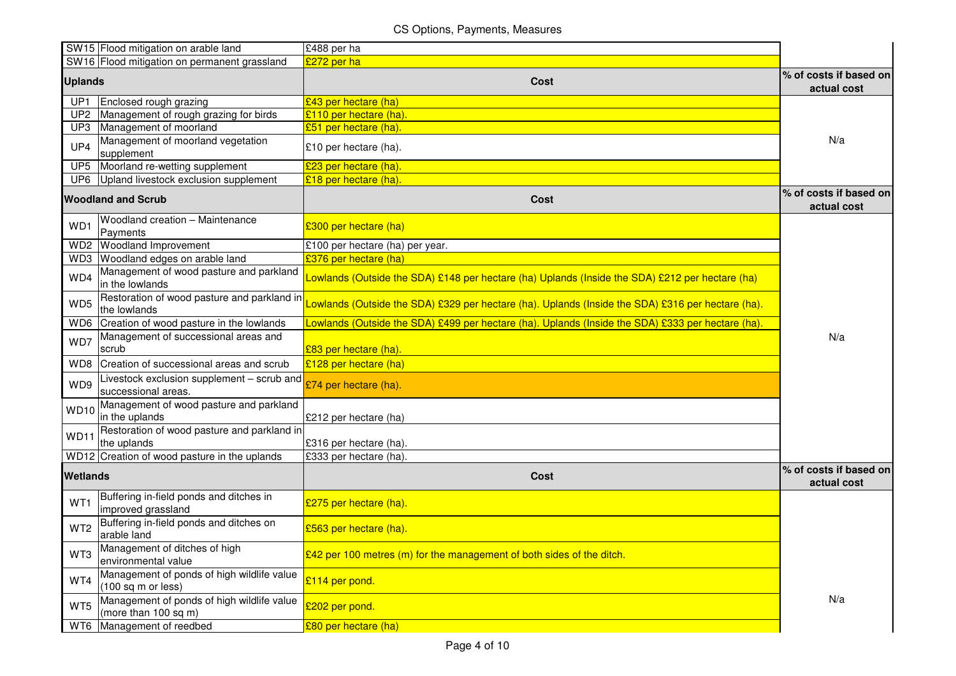|                 | SW15 Flood mitigation on arable land                               | £488 per ha                                                                                       |                                       |
|-----------------|--------------------------------------------------------------------|---------------------------------------------------------------------------------------------------|---------------------------------------|
|                 | SW16 Flood mitigation on permanent grassland                       | <mark>£272 per ha</mark>                                                                          |                                       |
| <b>Uplands</b>  |                                                                    | Cost                                                                                              | % of costs if based on                |
|                 |                                                                    |                                                                                                   | actual cost                           |
| UP <sub>1</sub> | Enclosed rough grazing                                             | £43 per hectare (ha)                                                                              |                                       |
| UP2             | Management of rough grazing for birds                              | £110 per hectare (ha).                                                                            |                                       |
|                 | UP3 Management of moorland                                         | £51 per hectare (ha).                                                                             |                                       |
| UP4             | Management of moorland vegetation<br>supplement                    | £10 per hectare (ha).                                                                             | N/a                                   |
|                 | UP5 Moorland re-wetting supplement                                 | £23 per hectare (ha).                                                                             |                                       |
|                 | UP6 Upland livestock exclusion supplement                          | £18 per hectare (ha).                                                                             |                                       |
|                 | <b>Woodland and Scrub</b>                                          | Cost                                                                                              | % of costs if based on<br>actual cost |
| WD1             | Woodland creation - Maintenance<br>Payments                        | £300 per hectare (ha)                                                                             |                                       |
|                 | WD2 Woodland Improvement                                           | £100 per hectare (ha) per year.                                                                   |                                       |
| WD3             | Woodland edges on arable land                                      | £376 per hectare (ha)                                                                             |                                       |
| WD4             | Management of wood pasture and parkland<br>in the lowlands         | Lowlands (Outside the SDA) £148 per hectare (ha) Uplands (Inside the SDA) £212 per hectare (ha)   |                                       |
| WD <sub>5</sub> | Restoration of wood pasture and parkland in<br>the lowlands        | Lowlands (Outside the SDA) £329 per hectare (ha). Uplands (Inside the SDA) £316 per hectare (ha). |                                       |
|                 | WD6 Creation of wood pasture in the lowlands                       | Lowlands (Outside the SDA) £499 per hectare (ha). Uplands (Inside the SDA) £333 per hectare (ha). |                                       |
| WD7             | Management of successional areas and<br>scrub                      | £83 per hectare (ha).                                                                             | N/a                                   |
| WD8             | Creation of successional areas and scrub                           | £128 per hectare (ha)                                                                             |                                       |
| WD9             | Livestock exclusion supplement - scrub and<br>successional areas.  | £74 per hectare (ha).                                                                             |                                       |
| <b>WD10</b>     | Management of wood pasture and parkland<br>in the uplands          | £212 per hectare (ha)                                                                             |                                       |
| WD11            | Restoration of wood pasture and parkland in<br>the uplands         | £316 per hectare (ha).                                                                            |                                       |
|                 | WD12 Creation of wood pasture in the uplands                       | £333 per hectare (ha).                                                                            |                                       |
| Wetlands        |                                                                    | Cost                                                                                              | % of costs if based on<br>actual cost |
| WT1             | Buffering in-field ponds and ditches in<br>improved grassland      | £275 per hectare (ha).                                                                            |                                       |
| WT2             | Buffering in-field ponds and ditches on<br>arable land             | £563 per hectare (ha).                                                                            |                                       |
| WT3             | Management of ditches of high<br>environmental value               | £42 per 100 metres (m) for the management of both sides of the ditch.                             |                                       |
| WT4             | Management of ponds of high wildlife value<br>(100 sq m or less)   | £114 per pond.                                                                                    |                                       |
| WT5             | Management of ponds of high wildlife value<br>(more than 100 sq m) | £202 per pond.                                                                                    | N/a                                   |
|                 | WT6 Management of reedbed                                          | £80 per hectare (ha)                                                                              |                                       |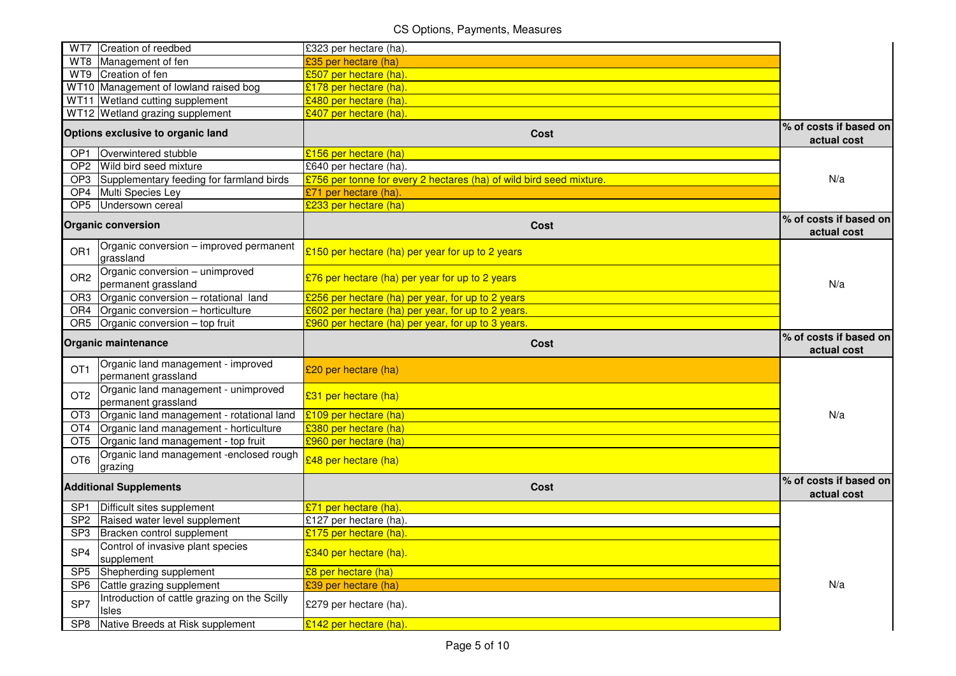| WT7             | Creation of reedbed                                                                           | £323 per hectare (ha).                                              |                                       |
|-----------------|-----------------------------------------------------------------------------------------------|---------------------------------------------------------------------|---------------------------------------|
|                 | WT8 Management of fen                                                                         | £35 per hectare (ha)                                                |                                       |
|                 | WT9 Creation of fen                                                                           | £507 per hectare (ha).                                              |                                       |
|                 | WT10 Management of lowland raised bog                                                         | £178 per hectare (ha).                                              |                                       |
|                 | WT11 Wetland cutting supplement                                                               | £480 per hectare (ha).                                              |                                       |
|                 | WT12 Wetland grazing supplement                                                               | £407 per hectare (ha).                                              |                                       |
|                 | Options exclusive to organic land                                                             | Cost                                                                | % of costs if based on<br>actual cost |
| OP1             | Overwintered stubble                                                                          | £156 per hectare (ha)                                               |                                       |
|                 | OP2 Wild bird seed mixture                                                                    | £640 per hectare (ha).                                              |                                       |
|                 | OP3 Supplementary feeding for farmland birds                                                  | £756 per tonne for every 2 hectares (ha) of wild bird seed mixture. | N/a                                   |
|                 | OP4 Multi Species Ley                                                                         | £71 per hectare (ha).                                               |                                       |
|                 | OP5 Undersown cereal                                                                          | £233 per hectare (ha)                                               |                                       |
|                 | <b>Organic conversion</b>                                                                     | Cost                                                                | % of costs if based on<br>actual cost |
| OR <sub>1</sub> | Organic conversion - improved permanent<br>grassland                                          | £150 per hectare (ha) per year for up to 2 years                    |                                       |
| OR <sub>2</sub> | Organic conversion - unimproved<br>permanent grassland                                        | £76 per hectare (ha) per year for up to 2 years                     | N/a                                   |
|                 | OR3 Organic conversion - rotational land                                                      | £256 per hectare (ha) per year, for up to 2 years                   |                                       |
|                 | OR4 Organic conversion - horticulture                                                         | £602 per hectare (ha) per year, for up to 2 years.                  |                                       |
|                 | OR5 $Organic conversion - top fruit$                                                          | £960 per hectare (ha) per year, for up to 3 years.                  |                                       |
|                 |                                                                                               |                                                                     |                                       |
|                 | Organic maintenance                                                                           | <b>Cost</b>                                                         | % of costs if based on<br>actual cost |
| OT <sub>1</sub> | Organic land management - improved<br>permanent grassland                                     | £20 per hectare (ha)                                                |                                       |
| OT <sub>2</sub> | Organic land management - unimproved<br>permanent grassland                                   | £31 per hectare (ha)                                                |                                       |
| OT <sub>3</sub> | Organic land management - rotational land                                                     | £109 per hectare (ha)                                               | N/a                                   |
|                 | OT4 Organic land management - horticulture                                                    | £380 per hectare (ha)                                               |                                       |
| OT <sub>5</sub> | Organic land management - top fruit                                                           | £960 per hectare (ha)                                               |                                       |
| OT <sub>6</sub> | Organic land management -enclosed rough<br>grazing                                            | £48 per hectare (ha)                                                |                                       |
|                 | <b>Additional Supplements</b>                                                                 | Cost                                                                | % of costs if based on<br>actual cost |
| SP <sub>1</sub> | Difficult sites supplement                                                                    | £71 per hectare (ha).                                               |                                       |
|                 | SP2 Raised water level supplement                                                             | £127 per hectare (ha).                                              |                                       |
| SP <sub>3</sub> | Bracken control supplement                                                                    | £175 per hectare (ha).                                              |                                       |
| SP <sub>4</sub> | Control of invasive plant species<br>supplement                                               | £340 per hectare (ha).                                              |                                       |
|                 | SP5 Shepherding supplement                                                                    | £8 per hectare (ha)                                                 |                                       |
| SP <sub>6</sub> | Cattle grazing supplement                                                                     | £39 per hectare (ha)                                                | N/a                                   |
| SP7             | Introduction of cattle grazing on the Scilly<br>Isles<br>SP8 Native Breeds at Risk supplement | £279 per hectare (ha).                                              |                                       |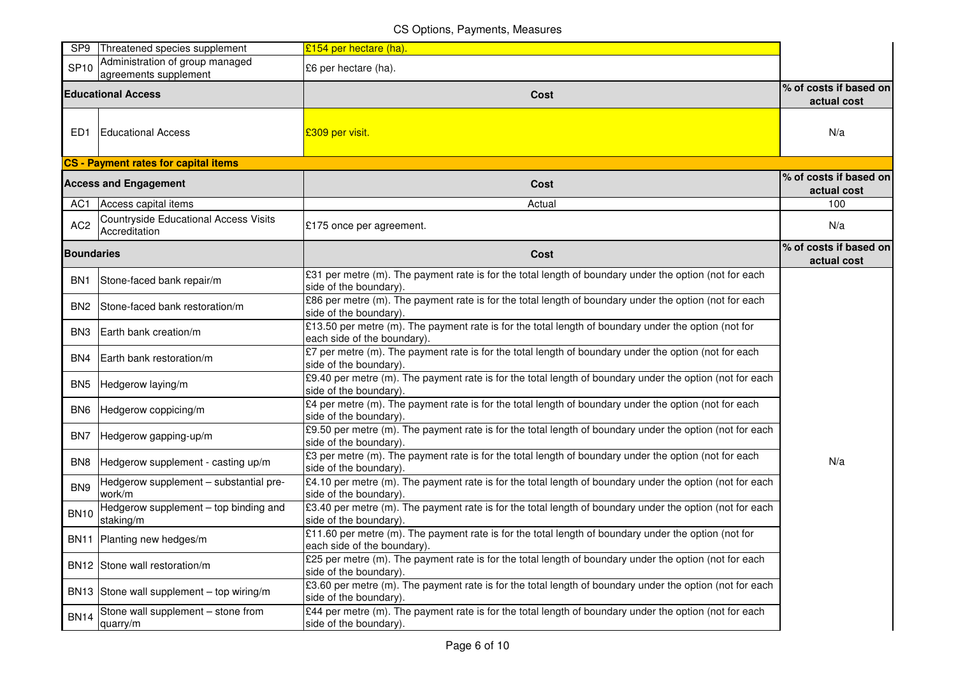## CS Options, Payments, Measures

| SP <sub>9</sub>   | Threatened species supplement                                 | £154 per hectare (ha).                                                                                                              |                                       |
|-------------------|---------------------------------------------------------------|-------------------------------------------------------------------------------------------------------------------------------------|---------------------------------------|
| <b>SP10</b>       | Administration of group managed<br>agreements supplement      | £6 per hectare (ha).                                                                                                                |                                       |
|                   | <b>Educational Access</b>                                     | <b>Cost</b>                                                                                                                         | % of costs if based on<br>actual cost |
| ED1               | Educational Access                                            | £309 per visit.                                                                                                                     | N/a                                   |
|                   | <b>CS</b> - Payment rates for capital items                   |                                                                                                                                     |                                       |
|                   | <b>Access and Engagement</b>                                  | <b>Cost</b>                                                                                                                         | % of costs if based on<br>actual cost |
| AC1               | Access capital items                                          | Actual                                                                                                                              | 100                                   |
| AC <sub>2</sub>   | <b>Countryside Educational Access Visits</b><br>Accreditation | £175 once per agreement.                                                                                                            | N/a                                   |
| <b>Boundaries</b> |                                                               | <b>Cost</b>                                                                                                                         | % of costs if based on<br>actual cost |
| BN <sub>1</sub>   | Stone-faced bank repair/m                                     | £31 per metre (m). The payment rate is for the total length of boundary under the option (not for each<br>side of the boundary).    |                                       |
| BN <sub>2</sub>   | Stone-faced bank restoration/m                                | £86 per metre (m). The payment rate is for the total length of boundary under the option (not for each<br>side of the boundary).    |                                       |
| BN3               | Earth bank creation/m                                         | £13.50 per metre (m). The payment rate is for the total length of boundary under the option (not for<br>each side of the boundary). |                                       |
| BN4               | Earth bank restoration/m                                      | £7 per metre (m). The payment rate is for the total length of boundary under the option (not for each<br>side of the boundary).     |                                       |
| BN <sub>5</sub>   | Hedgerow laying/m                                             | £9.40 per metre (m). The payment rate is for the total length of boundary under the option (not for each<br>side of the boundary).  |                                       |
| BN6               | Hedgerow coppicing/m                                          | £4 per metre (m). The payment rate is for the total length of boundary under the option (not for each<br>side of the boundary).     |                                       |
| BN7               | Hedgerow gapping-up/m                                         | £9.50 per metre (m). The payment rate is for the total length of boundary under the option (not for each<br>side of the boundary).  |                                       |
| BN <sub>8</sub>   | Hedgerow supplement - casting up/m                            | £3 per metre (m). The payment rate is for the total length of boundary under the option (not for each<br>side of the boundary).     | N/a                                   |
| BN <sub>9</sub>   | Hedgerow supplement - substantial pre-<br>work/m              | £4.10 per metre (m). The payment rate is for the total length of boundary under the option (not for each<br>side of the boundary).  |                                       |
| <b>BN10</b>       | Hedgerow supplement - top binding and<br>staking/m            | £3.40 per metre (m). The payment rate is for the total length of boundary under the option (not for each<br>side of the boundary).  |                                       |
|                   | BN11 Planting new hedges/m                                    | £11.60 per metre (m). The payment rate is for the total length of boundary under the option (not for<br>each side of the boundary). |                                       |
|                   | BN12 Stone wall restoration/m                                 | £25 per metre (m). The payment rate is for the total length of boundary under the option (not for each<br>side of the boundary).    |                                       |
|                   | BN13 Stone wall supplement - top wiring/m                     | £3.60 per metre (m). The payment rate is for the total length of boundary under the option (not for each<br>side of the boundary).  |                                       |
| <b>BN14</b>       | Stone wall supplement - stone from<br>quarry/m                | £44 per metre (m). The payment rate is for the total length of boundary under the option (not for each<br>side of the boundary).    |                                       |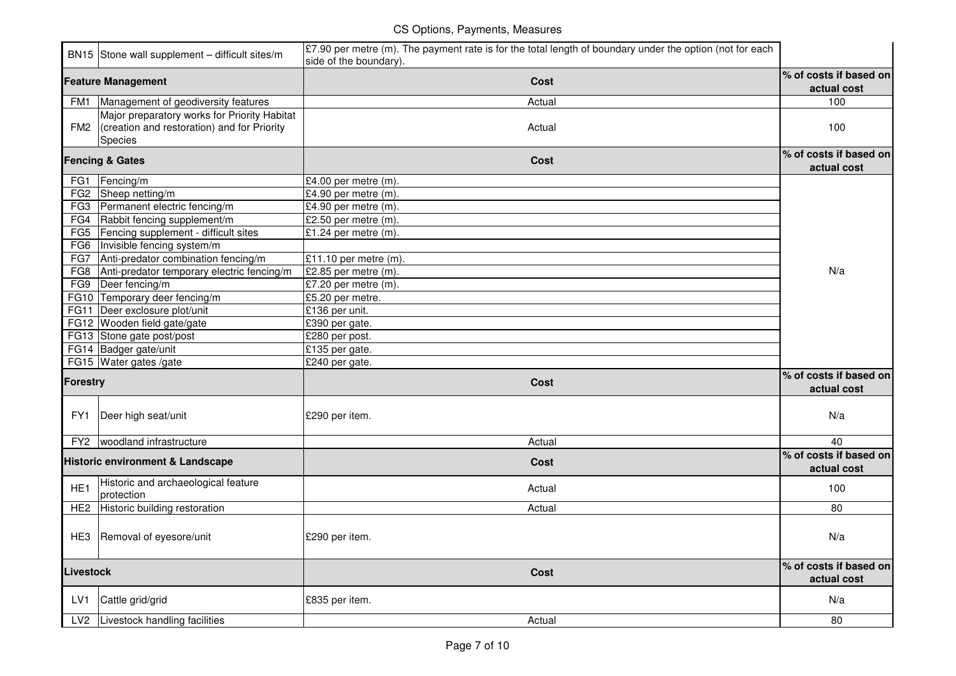## CS Options, Payments, Measures

|                           | BN15 Stone wall supplement - difficult sites/m                                                             | £7.90 per metre (m). The payment rate is for the total length of boundary under the option (not for each<br>side of the boundary). |                                       |
|---------------------------|------------------------------------------------------------------------------------------------------------|------------------------------------------------------------------------------------------------------------------------------------|---------------------------------------|
| <b>Feature Management</b> |                                                                                                            | Cost                                                                                                                               | % of costs if based on<br>actual cost |
|                           | FM1 Management of geodiversity features                                                                    | Actual                                                                                                                             | 100                                   |
|                           | Major preparatory works for Priority Habitat<br>FM2 (creation and restoration) and for Priority<br>Species | Actual                                                                                                                             | 100                                   |
|                           | <b>Fencing &amp; Gates</b>                                                                                 | <b>Cost</b>                                                                                                                        | % of costs if based on<br>actual cost |
|                           | FG1 Fencing/m                                                                                              | £4.00 per metre (m).                                                                                                               |                                       |
|                           | FG2 Sheep netting/m                                                                                        | £4.90 per metre (m).                                                                                                               |                                       |
|                           | FG3 Permanent electric fencing/m                                                                           | £4.90 per metre (m).                                                                                                               |                                       |
|                           | FG4 Rabbit fencing supplement/m                                                                            | £2.50 per metre $(m)$ .                                                                                                            |                                       |
|                           | FG5 Fencing supplement - difficult sites                                                                   | £1.24 per metre $(m)$ .                                                                                                            |                                       |
|                           | FG6   Invisible fencing system/m                                                                           |                                                                                                                                    |                                       |
|                           | FG7 Anti-predator combination fencing/m                                                                    | £11.10 per metre (m).                                                                                                              |                                       |
|                           | FG8   Anti-predator temporary electric fencing/m                                                           | £2.85 per metre (m).                                                                                                               | N/a                                   |
|                           | FG9   Deer fencing/m                                                                                       | £7.20 per metre (m).                                                                                                               |                                       |
|                           | FG10 Temporary deer fencing/m                                                                              | £5.20 per metre.                                                                                                                   |                                       |
|                           | FG11 Deer exclosure plot/unit                                                                              | £136 per unit.                                                                                                                     |                                       |
|                           | FG12 Wooden field gate/gate                                                                                | £390 per gate.                                                                                                                     |                                       |
|                           | FG13 Stone gate post/post                                                                                  | £280 per post.                                                                                                                     |                                       |
|                           | FG14 Badger gate/unit                                                                                      | £135 per gate.                                                                                                                     |                                       |
|                           | FG15 Water gates /gate                                                                                     | £240 per gate.                                                                                                                     |                                       |
| <b>Forestry</b>           |                                                                                                            | <b>Cost</b>                                                                                                                        | % of costs if based on<br>actual cost |
| FY1                       | Deer high seat/unit                                                                                        | £290 per item.                                                                                                                     | N/a                                   |
| FY <sub>2</sub>           | woodland infrastructure                                                                                    | Actual                                                                                                                             | 40                                    |
|                           | Historic environment & Landscape                                                                           | <b>Cost</b>                                                                                                                        | % of costs if based on<br>actual cost |
| HE <sub>1</sub>           | Historic and archaeological feature<br>protection                                                          | Actual                                                                                                                             | 100                                   |
| HE <sub>2</sub>           | Historic building restoration                                                                              | Actual                                                                                                                             | 80                                    |
| HE3                       | Removal of eyesore/unit                                                                                    | £290 per item.                                                                                                                     | N/a                                   |
| Livestock                 |                                                                                                            | <b>Cost</b>                                                                                                                        | % of costs if based on<br>actual cost |
| LV1                       | Cattle grid/grid                                                                                           | £835 per item.                                                                                                                     | N/a                                   |
|                           | LV2 Livestock handling facilities                                                                          | Actual                                                                                                                             | 80                                    |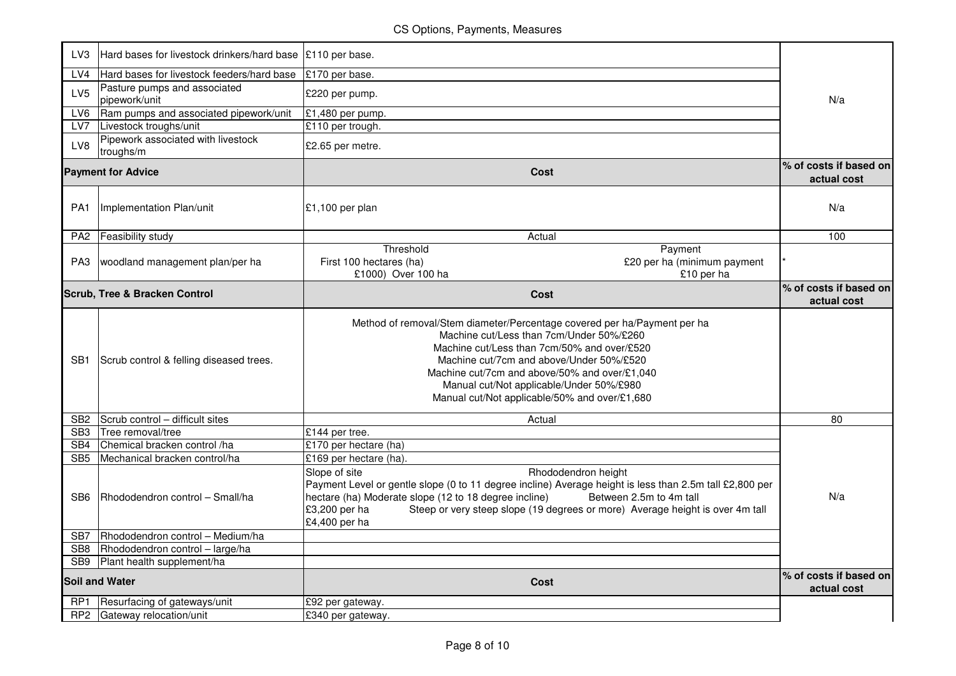| LV <sub>3</sub> | Hard bases for livestock drinkers/hard base     | £110 per base.                                                                                                                                                                                                                                                                                                                                                |                                       |
|-----------------|-------------------------------------------------|---------------------------------------------------------------------------------------------------------------------------------------------------------------------------------------------------------------------------------------------------------------------------------------------------------------------------------------------------------------|---------------------------------------|
| LVA             | Hard bases for livestock feeders/hard base      | £170 per base.                                                                                                                                                                                                                                                                                                                                                |                                       |
| LV5             | Pasture pumps and associated<br>pipework/unit   | £220 per pump.                                                                                                                                                                                                                                                                                                                                                | N/a                                   |
| LV6             | Ram pumps and associated pipework/unit          | £1,480 per pump.                                                                                                                                                                                                                                                                                                                                              |                                       |
| LV7             | Livestock troughs/unit                          | £110 per trough.                                                                                                                                                                                                                                                                                                                                              |                                       |
| LV8             | Pipework associated with livestock<br>troughs/m | £2.65 per metre.                                                                                                                                                                                                                                                                                                                                              |                                       |
|                 | <b>Payment for Advice</b>                       | Cost                                                                                                                                                                                                                                                                                                                                                          | % of costs if based on<br>actual cost |
| PA1             | Implementation Plan/unit                        | £1,100 per plan                                                                                                                                                                                                                                                                                                                                               | N/a                                   |
| PA <sub>2</sub> | Feasibility study                               | Actual                                                                                                                                                                                                                                                                                                                                                        | 100                                   |
| PA3             | woodland management plan/per ha                 | Threshold<br>Payment<br>First 100 hectares (ha)<br>£20 per ha (minimum payment<br>£1000) Over 100 ha<br>£10 per ha                                                                                                                                                                                                                                            |                                       |
|                 | Scrub, Tree & Bracken Control                   | Cost                                                                                                                                                                                                                                                                                                                                                          | % of costs if based on<br>actual cost |
| SB1             | Scrub control & felling diseased trees.         | Method of removal/Stem diameter/Percentage covered per ha/Payment per ha<br>Machine cut/Less than 7cm/Under 50%/£260<br>Machine cut/Less than 7cm/50% and over/£520<br>Machine cut/7cm and above/Under 50%/£520<br>Machine cut/7cm and above/50% and over/£1,040<br>Manual cut/Not applicable/Under 50%/£980<br>Manual cut/Not applicable/50% and over/£1,680 |                                       |
| SB <sub>2</sub> | Scrub control - difficult sites                 | Actual                                                                                                                                                                                                                                                                                                                                                        | 80                                    |
| SB3             | Tree removal/tree                               | £144 per tree.                                                                                                                                                                                                                                                                                                                                                |                                       |
| SB4             | Chemical bracken control /ha                    | £170 per hectare (ha)                                                                                                                                                                                                                                                                                                                                         |                                       |
| SB <sub>5</sub> | Mechanical bracken control/ha                   | £169 per hectare (ha).                                                                                                                                                                                                                                                                                                                                        |                                       |
| SB <sub>6</sub> | Rhododendron control - Small/ha                 | Slope of site<br>Rhododendron height<br>Payment Level or gentle slope (0 to 11 degree incline) Average height is less than 2.5m tall £2,800 per<br>Between 2.5m to 4m tall<br>hectare (ha) Moderate slope (12 to 18 degree incline)<br>£3,200 per ha<br>Steep or very steep slope (19 degrees or more) Average height is over 4m tall<br>£4,400 per ha        | N/a                                   |
| SB7             | <b>IRhododendron control - Medium/ha</b>        |                                                                                                                                                                                                                                                                                                                                                               |                                       |
| SB8             | Rhododendron control - large/ha                 |                                                                                                                                                                                                                                                                                                                                                               |                                       |
|                 | SB9 Plant health supplement/ha                  |                                                                                                                                                                                                                                                                                                                                                               |                                       |
|                 | <b>Soil and Water</b>                           | Cost                                                                                                                                                                                                                                                                                                                                                          | % of costs if based on<br>actual cost |
| RP <sub>1</sub> | Resurfacing of gateways/unit                    | £92 per gateway.                                                                                                                                                                                                                                                                                                                                              |                                       |
| RP <sub>2</sub> | Gateway relocation/unit                         | £340 per gateway.                                                                                                                                                                                                                                                                                                                                             |                                       |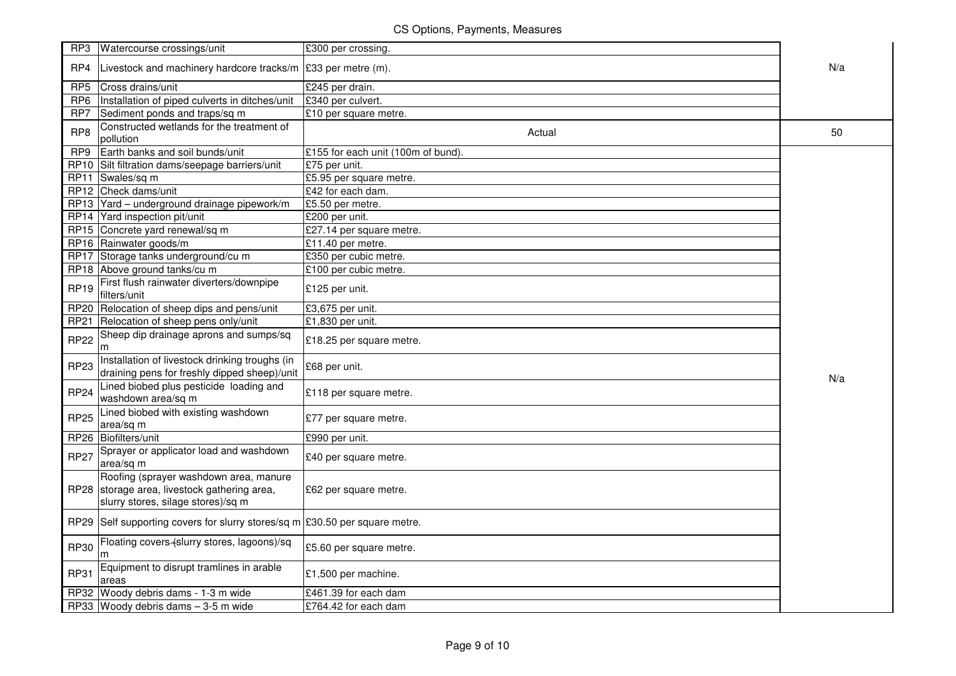## CS Options, Payments, Measures

|                  | RP3   Watercourse crossings/unit                                                                                             | £300 per crossing.                 |     |
|------------------|------------------------------------------------------------------------------------------------------------------------------|------------------------------------|-----|
| RP4              | Livestock and machinery hardcore tracks/m $\left  \xi 33 \right $ per metre (m).                                             |                                    | N/a |
| RP <sub>5</sub>  | Cross drains/unit                                                                                                            | £245 per drain.                    |     |
| RP <sub>6</sub>  | Installation of piped culverts in ditches/unit                                                                               | £340 per culvert.                  |     |
| RP7              | Sediment ponds and traps/sq m                                                                                                | £10 per square metre.              |     |
| RP8              | Constructed wetlands for the treatment of<br>pollution                                                                       | Actual                             | 50  |
| RP9              | Earth banks and soil bunds/unit                                                                                              | £155 for each unit (100m of bund). |     |
|                  | RP10 Silt filtration dams/seepage barriers/unit                                                                              | £75 per unit.                      |     |
|                  | RP11 Swales/sq m                                                                                                             | £5.95 per square metre.            |     |
|                  | RP12 Check dams/unit                                                                                                         | $\sqrt{242}$ for each dam.         |     |
|                  | RP13 Yard - underground drainage pipework/m                                                                                  | £5.50 per metre.                   |     |
|                  | RP14 Yard inspection pit/unit                                                                                                | $\overline{\text{£}200}$ per unit. |     |
|                  | RP15 Concrete yard renewal/sq m                                                                                              | £27.14 per square metre.           |     |
|                  | RP16 Rainwater goods/m                                                                                                       | £11.40 per metre.                  |     |
|                  | RP17 Storage tanks underground/cu m                                                                                          | £350 per cubic metre.              |     |
|                  | RP18 Above ground tanks/cu m                                                                                                 | £100 per cubic metre.              |     |
| RP <sub>19</sub> | First flush rainwater diverters/downpipe<br>filters/unit                                                                     | £125 per unit.                     |     |
|                  | RP20 Relocation of sheep dips and pens/unit                                                                                  | $\overline{£3,675}$ per unit.      |     |
|                  | RP21 Relocation of sheep pens only/unit                                                                                      | £1,830 per unit.                   |     |
| <b>RP22</b>      | Sheep dip drainage aprons and sumps/sq<br>m                                                                                  | £18.25 per square metre.           |     |
| <b>RP23</b>      | Installation of livestock drinking troughs (in<br>draining pens for freshly dipped sheep)/unit                               | £68 per unit.                      | N/a |
| <b>RP24</b>      | Lined biobed plus pesticide loading and<br>washdown area/sq m                                                                | £118 per square metre.             |     |
| <b>RP25</b>      | Lined biobed with existing washdown<br>area/sq m                                                                             | £77 per square metre.              |     |
|                  | RP26 Biofilters/unit                                                                                                         | £990 per unit.                     |     |
| <b>RP27</b>      | Sprayer or applicator load and washdown<br>area/sq m                                                                         | £40 per square metre.              |     |
|                  | Roofing (sprayer washdown area, manure<br>RP28 storage area, livestock gathering area,<br>slurry stores, silage stores)/sq m | £62 per square metre.              |     |
|                  | RP29 Self supporting covers for slurry stores/sq m £30.50 per square metre.                                                  |                                    |     |
| RP30             | Floating covers (slurry stores, lagoons)/sq                                                                                  | £5.60 per square metre.            |     |
| <b>RP31</b>      | Equipment to disrupt tramlines in arable<br>areas                                                                            | £1,500 per machine.                |     |
|                  | RP32 Woody debris dams - 1-3 m wide                                                                                          | £461.39 for each dam               |     |
|                  | RP33 Woody debris dams $-3-5$ m wide                                                                                         | £764.42 for each dam               |     |